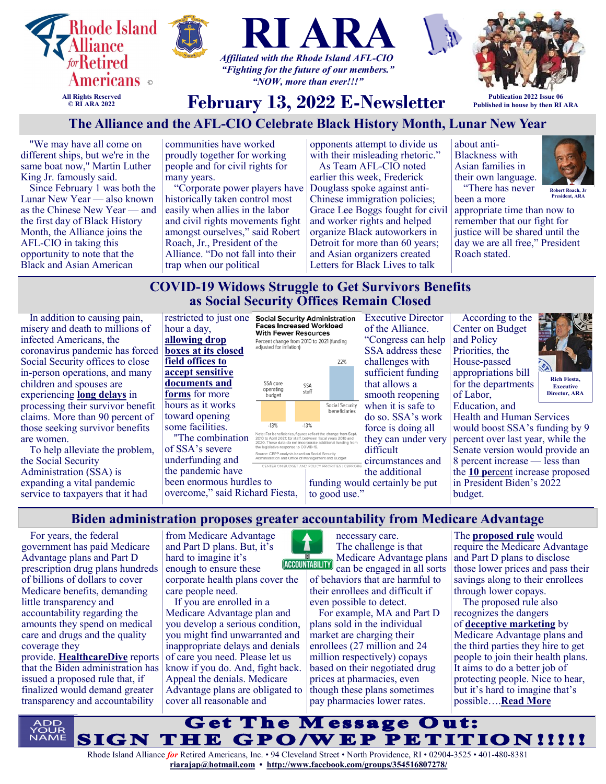

different ships, but we're in the same boat now," Martin Luther King Jr. famously said.

Since February 1 was both the Lunar New Year — also known as the Chinese New Year — and the first day of Black History Month, the Alliance joins the AFL-CIO in taking this opportunity to note that the Black and Asian American

proudly together for working people and for civil rights for many years.

"Corporate power players have historically taken control most easily when allies in the labor and civil rights movements fight amongst ourselves," said Robert Roach, Jr., President of the Alliance. "Do not fall into their trap when our political

with their misleading rhetoric."

As Team AFL-CIO noted earlier this week, Frederick Douglass spoke against anti-Chinese immigration policies; Grace Lee Boggs fought for civil and worker rights and helped organize Black autoworkers in Detroit for more than 60 years; and Asian organizers created Letters for Black Lives to talk

> Executive Director of the Alliance. "Congress can help SSA address these challenges with sufficient funding that allows a smooth reopening when it is safe to do so. SSA's work force is doing all they can under very



been a more



**Robert Roach, January President, ARA**

appropriate time than now to remember that our fight for justice will be shared until the day we are all free," President Roach stated.

# **COVID-19 Widows Struggle to Get Survivors Benefits as Social Security Offices Remain Closed**

In addition to causing pain, misery and death to millions of infected Americans, the coronavirus pandemic has forced Social Security offices to close in-person operations, and many children and spouses are experiencing **[long delays](https://19thnews.org/2022/02/widows-coronavirus-social-security-benefits/)** in processing their survivor benefit claims. More than 90 percent of those seeking survivor benefits are women.

To help alleviate the problem, the Social Security Administration (SSA) is expanding a vital pandemic service to taxpayers that it had

hour a day, **[allowing drop](https://www.washingtonpost.com/politics/2022/01/29/social-security-pandemic/)  [boxes at its closed](https://www.washingtonpost.com/politics/2022/01/29/social-security-pandemic/)  [field offices to](https://www.washingtonpost.com/politics/2022/01/29/social-security-pandemic/)  [accept sensitive](https://www.washingtonpost.com/politics/2022/01/29/social-security-pandemic/)  [documents and](https://www.washingtonpost.com/politics/2022/01/29/social-security-pandemic/)  [forms](https://www.washingtonpost.com/politics/2022/01/29/social-security-pandemic/)** for more hours as it works toward opening some facilities. "The combination of SSA's severe

underfunding and the pandemic have been enormous hurdles to overcome," said Richard Fiesta,



Source: CBPP analysis based on Social Security<br>Administration and Office of Management and Budget

circumstances and the additional funding would certainly be put to good use."

difficult

According to the Center on Budget and Policy Priorities, the House-passed appropriations bill for the departments of Labor, Education, and



**Director, ARA**

Health and Human Services would boost SSA's funding by 9 percent over last year, while the Senate version would provide an 8 percent increase — less than the **[10 pe](https://www.cbpp.org/blog/after-years-of-underinvestment-its-time-to-rebuild-the-social-security-administration)**rcent increase proposed in President Biden's 2022 budget.

**Biden administration proposes greater accountability from Medicare Advantage**

For years, the federal government has paid Medicare Advantage plans and Part D prescription drug plans hundreds of billions of dollars to cover Medicare benefits, demanding little transparency and accountability regarding the amounts they spend on medical care and drugs and the quality coverage they provide. **[HealthcareDive](https://www.healthcaredive.com/news/biden-admin-stricter-network-adequacy-MA-marketing/616822/)** reports that the Biden administration has issued a proposed rule that, if finalized would demand greater transparency and accountability

from Medicare Advantage and Part D plans. But, it's hard to imagine it's enough to ensure these corporate health plans cover the care people need.

If you are enrolled in a Medicare Advantage plan and you develop a serious condition, you might find unwarranted and inappropriate delays and denials of care you need. Please let us know if you do. And, fight back. Appeal the denials. Medicare Advantage plans are obligated to cover all reasonable and

necessary care. The challenge is that Medicare Advantage plans (ACCOUNTABILITY) can be engaged in all sorts of behaviors that are harmful to

their enrollees and difficult if even possible to detect.

For example, MA and Part D plans sold in the individual market are charging their enrollees (27 million and 24 million respectively) copays based on their negotiated drug prices at pharmacies, even though these plans sometimes pay pharmacies lower rates.

The **[proposed rule](https://www.cms.gov/newsroom/fact-sheets/cy-2023-medicare-advantage-and-part-d-proposed-rule-cms-4192-p)** would require the Medicare Advantage and Part D plans to disclose those lower prices and pass their savings along to their enrollees through lower copays.

The proposed rule also recognizes the dangers of **[deceptive marketing](https://justcareusa.org/medicare-advantage-tune-out-the-joe-namath-ads/)** by Medicare Advantage plans and the third parties they hire to get people to join their health plans. It aims to do a better job of protecting people. Nice to hear, but it's hard to imagine that's possible….**[Read More](https://justcareusa.org/biden-administration-proposes-greater-accountability-from-medicare-advantage/)**

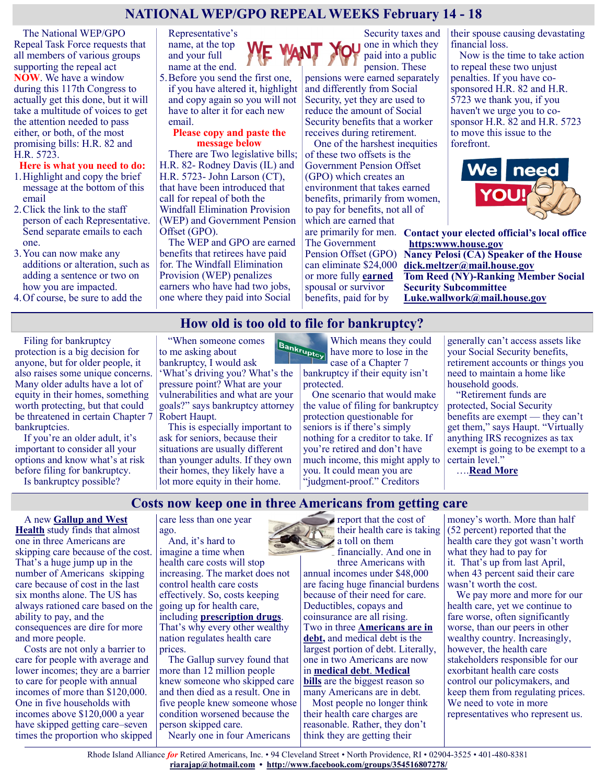# **NATIONAL WEP/GPO REPEAL WEEKS February 14 - 18**

The National WEP/GPO Repeal Task Force requests that all members of various groups supporting the repeal act **NOW**. We have a window during this 117th Congress to actually get this done, but it will take a multitude of voices to get the attention needed to pass either, or both, of the most promising bills: H.R. 82 and H.R. 5723.

#### **Here is what you need to do:**

- 1.Highlight and copy the brief message at the bottom of this email
- 2.Click the link to the staff person of each Representative. Send separate emails to each one.
- 3.You can now make any additions or alteration, such as adding a sentence or two on how you are impacted.
- 4.Of course, be sure to add the

Representative's name, at the top and your full name at the end.

5.Before you send the first one, if you have altered it, highlight and copy again so you will not have to alter it for each new email.

#### **Please copy and paste the message below**

There are Two legislative bills; H.R. 82- Rodney Davis (IL) and H.R. 5723- John Larson (CT), that have been introduced that call for repeal of both the Windfall Elimination Provision (WEP) and Government Pension Offset (GPO).

The WEP and GPO are earned benefits that retirees have paid for. The Windfall Elimination Provision (WEP) penalizes earners who have had two jobs, one where they paid into Social

Security taxes and one in which they paid into a public pension. These

pensions were earned separately and differently from Social Security, yet they are used to reduce the amount of Social Security benefits that a worker receives during retirement.

One of the harshest inequities of these two offsets is the Government Pension Offset (GPO) which creates an environment that takes earned benefits, primarily from women, to pay for benefits, not all of which are earned that

The Government can eliminate \$24,000 or more fully **earned** spousal or survivor benefits, paid for by

their spouse causing devastating financial loss.

Now is the time to take action to repeal these two unjust penalties. If you have cosponsored H.R. 82 and H.R. 5723 we thank you, if you haven't we urge you to cosponsor H.R. 82 and H.R. 5723 to move this issue to the forefront.



are primarily for men. **Contact your elected official's local office [https:www.house.gov](https://www.house.gov)**

Pension Offset (GPO) **Nancy Pelosi (CA) Speaker of the House [dick.meltzer@mail.house.gov](mailto:dick.meltzer@mail.house.gov) Tom Reed (NY)-Ranking Member Social Security Subcommittee [Luke.wallwork@mail.house.gov](mailto:Luke.wallwork@mail.house.gov)**

## **How old is too old to file for bankruptcy?**

Filing for bankruptcy protection is a big decision for anyone, but for older people, it also raises some unique concerns. Many older adults have a lot of equity in their homes, something worth protecting, but that could be threatened in certain Chapter 7 bankruptcies.

If you're an older adult, it's important to consider all your options and know what's at risk before filing for bankruptcy.

Is bankruptcy possible?

"When someone comes to me asking about bankruptcy, I would ask

'What's driving you? What's the pressure point? What are your vulnerabilities and what are your goals?" says bankruptcy attorney Robert Haupt.

This is especially important to ask for seniors, because their situations are usually different than younger adults. If they own their homes, they likely have a lot more equity in their home.

Which means they could have more to lose in the case of a Chapter 7 bankruptcy if their equity isn't protected.

One scenario that would make the value of filing for bankruptcy protection questionable for seniors is if there's simply nothing for a creditor to take. If you're retired and don't have much income, this might apply to you. It could mean you are "judgment-proof." Creditors

generally can't access assets like your Social Security benefits, retirement accounts or things you need to maintain a home like household goods.

"Retirement funds are protected, Social Security benefits are exempt — they can't get them," says Haupt. "Virtually anything IRS recognizes as tax exempt is going to be exempt to a certain level."

….**[Read More](https://www.msn.com/en-us/money/personalfinance/how-old-is-too-old-to-file-for-bankruptcy/ar-AAP4WZp?ocid=SK2DDHP)**

### **Costs now keep one in three Americans from getting care**

A new **[Gallup and West](https://www.gallup.com/analytics/357932/healthcare-in-america-2021.aspx)** 

**[Health](https://www.gallup.com/analytics/357932/healthcare-in-america-2021.aspx)** study finds that almost one in three Americans are skipping care because of the cost. That's a huge jump up in the number of Americans skipping care because of cost in the last six months alone. The US has always rationed care based on the ability to pay, and the consequences are dire for more and more people.

Costs are not only a barrier to care for people with average and lower incomes; they are a barrier to care for people with annual incomes of more than \$120,000. One in five households with incomes above \$120,000 a year have skipped getting care–seven times the proportion who skipped care less than one year ago.

And, it's hard to imagine a time when health care costs will stop increasing. The market does not control health care costs effectively. So, costs keeping going up for health care, including **[prescription drugs](https://justcareusa.org/pfizer-continues-to-hike-up-drug-prices/)**. That's why every other wealthy nation regulates health care prices.

The Gallup survey found that more than 12 million people knew someone who skipped care and then died as a result. One in five people knew someone whose condition worsened because the person skipped care. Nearly one in four Americans

report that the cost of a toll on them financially. And one in

three Americans with annual incomes under \$48,000 are facing huge financial burdens because of their need for care. Deductibles, copays and coinsurance are all rising. Two in three **[Americans are in](https://www.statista.com/topics/1203/personal-debt/)  [debt,](https://www.statista.com/topics/1203/personal-debt/)** and medical debt is the largest portion of debt. Literally, one in two Americans are now in **[medical debt](https://www.forbes.com/sites/debgordon/2021/10/13/50-of-americans-now-carry-medical-debt-a-new-chronic-condition-for-millions/?sh=4e8304f95e5d)**. **[Medical](https://jamanetwork.com/journals/jama/fullarticle/2782187?guestAccessKey=9e5fde5f-d5aa-410a-bbb3-bbe66a6b39fb&utm_source=For_The_Media&utm_medium=referral&utm_campaign=ftm_links&utm_content=tfl&utm_term=072021)  [bills](https://jamanetwork.com/journals/jama/fullarticle/2782187?guestAccessKey=9e5fde5f-d5aa-410a-bbb3-bbe66a6b39fb&utm_source=For_The_Media&utm_medium=referral&utm_campaign=ftm_links&utm_content=tfl&utm_term=072021)** are the biggest reason so many Americans are in debt. Most people no longer think

their health care charges are reasonable. Rather, they don't think they are getting their

their health care is taking (52 percent) reported that the money's worth. More than half health care they got wasn't worth what they had to pay for it. That's up from last April, when 43 percent said their care wasn't worth the cost.

We pay more and more for our health care, yet we continue to fare worse, often significantly worse, than our peers in other wealthy country. Increasingly, however, the health care stakeholders responsible for our exorbitant health care costs control our policymakers, and keep them from regulating prices. We need to vote in more representatives who represent us.

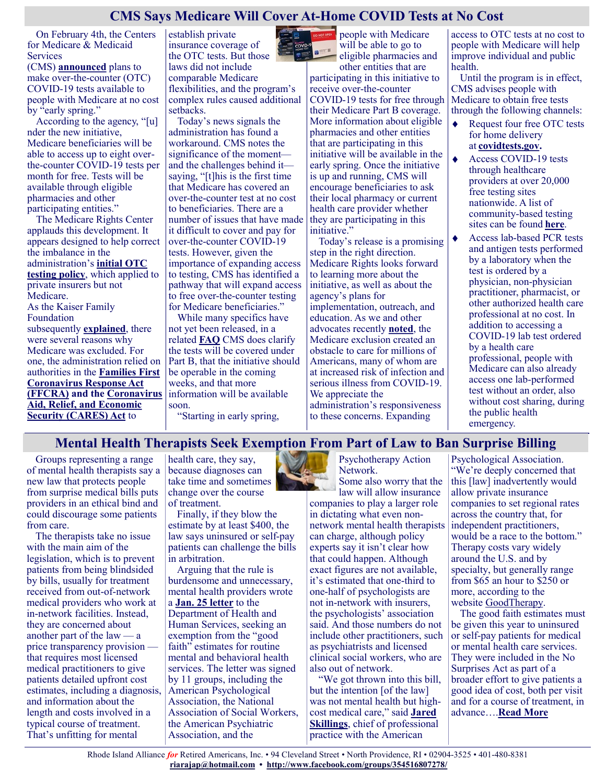# **CMS Says Medicare Will Cover At-Home COVID Tests at No Cost**

On February 4th, the Centers for Medicare & Medicaid Services

(CMS) **[announced](https://www.cms.gov/newsroom/news-alert/biden-harris-administration-will-cover-free-over-counter-covid-19-tests-through-medicare)** plans to make over-the-counter (OTC) COVID-19 tests available to people with Medicare at no cost by "early spring."

According to the agency, "[u] nder the new initiative, Medicare beneficiaries will be able to access up to eight overthe-counter COVID-19 tests per month for free. Tests will be available through eligible pharmacies and other participating entities."

The Medicare Rights Center applauds this development. It appears designed to help correct the imbalance in the administration's **[initial OTC](https://www.hhs.gov/about/news/2022/01/10/biden-harris-administration-requires-insurance-companies-group-health-plans-to-cover-cost-at-home-covid-19-tests-increasing-access-free-tests.html)  [testing policy](https://www.hhs.gov/about/news/2022/01/10/biden-harris-administration-requires-insurance-companies-group-health-plans-to-cover-cost-at-home-covid-19-tests-increasing-access-free-tests.html)**, which applied to private insurers but not Medicare. As the Kaiser Family Foundation subsequently **[explained](https://www.kff.org/policy-watch/are-medicare-advantage-insurers-covering-the-cost-of-at-home-covid-19-tests/)**, there were several reasons why Medicare was excluded. For one, the administration relied on authorities in the **[Families First](https://www.kff.org/coronavirus-covid-19/issue-brief/the-families-first-coronavirus-response-act-summary-of-key-provisions/)  [Coronavirus Response Act](https://www.kff.org/coronavirus-covid-19/issue-brief/the-families-first-coronavirus-response-act-summary-of-key-provisions/)  [\(FFCRA\)](https://www.kff.org/coronavirus-covid-19/issue-brief/the-families-first-coronavirus-response-act-summary-of-key-provisions/) and the [Coronavirus](https://www.kff.org/coronavirus-covid-19/issue-brief/the-coronavirus-aid-relief-and-economic-security-act-summary-of-key-health-provisions/)  [Aid, Relief, and Economic](https://www.kff.org/coronavirus-covid-19/issue-brief/the-coronavirus-aid-relief-and-economic-security-act-summary-of-key-health-provisions/)  [Security \(CARES\) Act](https://www.kff.org/coronavirus-covid-19/issue-brief/the-coronavirus-aid-relief-and-economic-security-act-summary-of-key-health-provisions/)** to

establish private insurance coverage of the OTC tests. But those laws did not include comparable Medicare flexibilities, and the program's complex rules caused additional setbacks.

Today's news signals the administration has found a workaround. CMS notes the significance of the moment and the challenges behind it saying, "[t]his is the first time that Medicare has covered an over-the-counter test at no cost to beneficiaries. There are a number of issues that have made it difficult to cover and pay for over-the-counter COVID-19 tests. However, given the importance of expanding access to testing, CMS has identified a pathway that will expand access to free over-the-counter testing for Medicare beneficiaries."

While many specifics have not yet been released, in a related **[FAQ](https://www.cms.gov/files/document/covid-19-over-counter-otc-tests-medicare-frequently-asked-questions.pdf)** CMS does clarify the tests will be covered under Part B, that the initiative should be operable in the coming weeks, and that more information will be available soon.

"Starting in early spring,

people with Medicare will be able to go to  $e^{-\epsilon t}$ 

eligible pharmacies and other entities that are participating in this initiative to receive over-the-counter COVID-19 tests for free through their Medicare Part B coverage. More information about eligible pharmacies and other entities that are participating in this initiative will be available in the early spring. Once the initiative is up and running, CMS will encourage beneficiaries to ask their local pharmacy or current health care provider whether they are participating in this initiative."

Today's release is a promising step in the right direction. Medicare Rights looks forward to learning more about the initiative, as well as about the agency's plans for implementation, outreach, and education. As we and other advocates recently **[noted](https://www.medicarerights.org/medicare-watch/2022/01/27/advocacy-organizations-urge-better-medicare-coverage-of-covid-19-services)**, the Medicare exclusion created an obstacle to care for millions of Americans, many of whom are at increased risk of infection and serious illness from COVID-19. We appreciate the administration's responsiveness to these concerns. Expanding

access to OTC tests at no cost to people with Medicare will help improve individual and public health.

Until the program is in effect, CMS advises people with Medicare to obtain free tests through the following channels:

- $\bullet$ Request four free OTC tests for home delivery at **[covidtests.gov.](https://nam10.safelinks.protection.outlook.com/?url=https%3A%2F%2Fwww.covidtests.gov%2F&data=04%7C01%7Cmaya.goldman%40modernhealthcare.com%7C6bfbffe9f3bf4febe7ed08d9db8ab524%7C2c6dce2dd43a4e78905e80e15b0a4b44%7C0%7C0%7C637782211057063091%7CUnknown%7CTWFpbGZsb)**
	- Access COVID-19 tests through healthcare providers at over 20,000 free testing sites nationwide. A list of community-based testing sites can be found **[here](https://www.hhs.gov/coronavirus/community-based-testing-sites/index.html)**.
	- Access lab-based PCR tests and antigen tests performed by a laboratory when the test is ordered by a physician, non-physician practitioner, pharmacist, or other authorized health care professional at no cost. In addition to accessing a COVID-19 lab test ordered by a health care professional, people with Medicare can also already access one lab-performed test without an order, also without cost sharing, during the public health emergency.

# **Mental Health Therapists Seek Exemption From Part of Law to Ban Surprise Billing**

Groups representing a range of mental health therapists say a new law that protects people from surprise medical bills puts providers in an ethical bind and could discourage some patients from care.

The therapists take no issue with the main aim of the legislation, which is to prevent patients from being blindsided by bills, usually for treatment received from out-of-network medical providers who work at in-network facilities. Instead, they are concerned about another part of the law — a price transparency provision that requires most licensed medical practitioners to give patients detailed upfront cost estimates, including a diagnosis, and information about the length and costs involved in a typical course of treatment. That's unfitting for mental

health care, they say, because diagnoses can take time and sometimes change over the course of treatment.

Finally, if they blow the estimate by at least \$400, the law says uninsured or self-pay patients can challenge the bills in arbitration.

Arguing that the rule is burdensome and unnecessary, mental health providers wrote a **[Jan. 25 letter](https://www.apaservices.org/advocacy/no-surprises-act-letter.pdf)** to the Department of Health and Human Services, seeking an exemption from the "good faith" estimates for routine mental and behavioral health services. The letter was signed by 11 groups, including the American Psychological Association, the National Association of Social Workers, the American Psychiatric Association, and the



Psychotherapy Action Network. Some also worry that the

law will allow insurance companies to play a larger role

in dictating what even nonnetwork mental health therapists can charge, although policy experts say it isn't clear how that could happen. Although exact figures are not available, it's estimated that one-third to one-half of psychologists are not in-network with insurers, the psychologists' association said. And those numbers do not include other practitioners, such as psychiatrists and licensed clinical social workers, who are also out of network.

"We got thrown into this bill, but the intention [of the law] was not mental health but highcost medical care," said **[Jared](https://www.apa.org/about/apa/senior-staff/skillings-bio)  [Skillings](https://www.apa.org/about/apa/senior-staff/skillings-bio)**, chief of professional practice with the American

Psychological Association. "We're deeply concerned that this [law] inadvertently would allow private insurance companies to set regional rates across the country that, for independent practitioners, would be a race to the bottom." Therapy costs vary widely around the U.S. and by specialty, but generally range from \$65 an hour to \$250 or more, according to the website [GoodTherapy.](https://www.goodtherapy.org/blog/faq/how-much-does-therapy-cost)

The good faith estimates must be given this year to uninsured or self-pay patients for medical or mental health care services. They were included in the No Surprises Act as part of a broader effort to give patients a good idea of cost, both per visit and for a course of treatment, in advance….**[Read More](https://khn.org/news/article/surprise-billing-mental-health-therapists-exemption-no-surprises-act/)**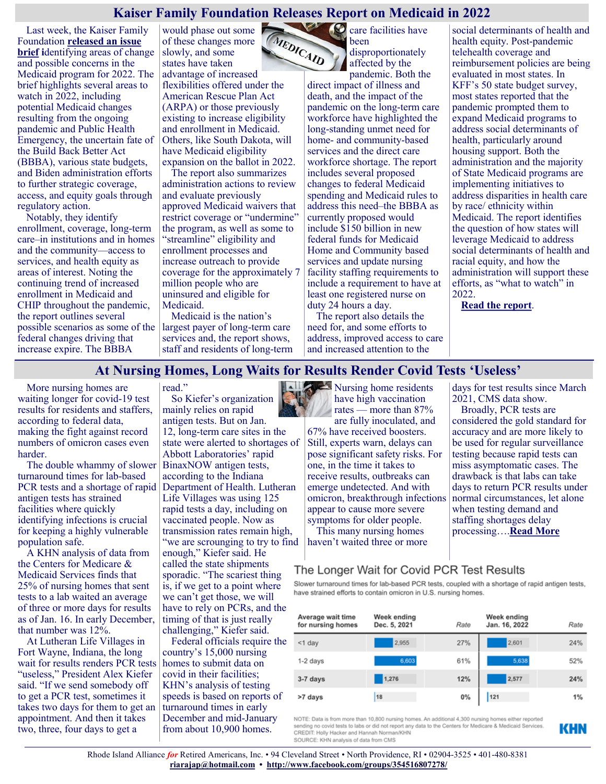## **Kaiser Family Foundation Releases Report on Medicaid in 2022**

Last week, the Kaiser Family Foundation **[released an issue](https://www.kff.org/medicaid/issue-brief/medicaid-what-to-watch-in-2022/)  [brief](https://www.kff.org/medicaid/issue-brief/medicaid-what-to-watch-in-2022/) i**dentifying areas of change and possible concerns in the Medicaid program for 2022. The brief highlights several areas to watch in 2022, including potential Medicaid changes resulting from the ongoing pandemic and Public Health Emergency, the uncertain fate of the Build Back Better Act (BBBA), various state budgets, and Biden administration efforts to further strategic coverage, access, and equity goals through regulatory action.

Notably, they identify enrollment, coverage, long-term care–in institutions and in homes and the community—access to services, and health equity as areas of interest. Noting the continuing trend of increased enrollment in Medicaid and CHIP throughout the pandemic, the report outlines several possible scenarios as some of the federal changes driving that increase expire. The BBBA

would phase out some MEDICAID of these changes more slowly, and some states have taken advantage of increased flexibilities offered under the American Rescue Plan Act (ARPA) or those previously existing to increase eligibility and enrollment in Medicaid. Others, like South Dakota, will have Medicaid eligibility expansion on the ballot in 2022.

The report also summarizes administration actions to review and evaluate previously approved Medicaid waivers that restrict coverage or "undermine" the program, as well as some to "streamline" eligibility and enrollment processes and increase outreach to provide coverage for the approximately 7 million people who are uninsured and eligible for Medicaid.

Medicaid is the nation's largest payer of long-term care services and, the report shows, staff and residents of long-term

read."

**C** care facilities have been disproportionately

affected by the pandemic. Both the direct impact of illness and death, and the impact of the pandemic on the long-term care workforce have highlighted the long-standing unmet need for home- and community-based services and the direct care workforce shortage. The report includes several proposed changes to federal Medicaid spending and Medicaid rules to address this need–the BBBA as currently proposed would include \$150 billion in new federal funds for Medicaid Home and Community based services and update nursing facility staffing requirements to include a requirement to have at least one registered nurse on duty 24 hours a day.

The report also details the need for, and some efforts to address, improved access to care and increased attention to the

social determinants of health and health equity. Post-pandemic telehealth coverage and reimbursement policies are being evaluated in most states. In KFF's 50 state budget survey, most states reported that the pandemic prompted them to expand Medicaid programs to address social determinants of health, particularly around housing support. Both the administration and the majority of State Medicaid programs are implementing initiatives to address disparities in health care by race/ ethnicity within Medicaid. The report identifies the question of how states will leverage Medicaid to address social determinants of health and racial equity, and how the administration will support these efforts, as "what to watch" in 2022.

**[Read the report](https://www.kff.org/medicaid/issue-brief/medicaid-what-to-watch-in-2022/)**.

# **At Nursing Homes, Long Waits for Results Render Covid Tests 'Useless'**

More nursing homes are waiting longer for covid-19 test results for residents and staffers, according to federal data, making the fight against record numbers of omicron cases even harder.

The double whammy of slower turnaround times for lab-based PCR tests and a shortage of rapid antigen tests has strained facilities where quickly identifying infections is crucial for keeping a highly vulnerable population safe.

A KHN analysis of data from the Centers for Medicare & Medicaid Services finds that 25% of nursing homes that sent tests to a lab waited an average of three or more days for results as of Jan. 16. In early December, that number was 12%.

At Lutheran Life Villages in Fort Wayne, Indiana, the long wait for results renders PCR tests "useless," President Alex Kiefer said. "If we send somebody off to get a PCR test, sometimes it takes two days for them to get an appointment. And then it takes two, three, four days to get a

So Kiefer's organization mainly relies on rapid antigen tests. But on Jan. 12, long-term care sites in the state were alerted to shortages of Abbott Laboratories' rapid BinaxNOW antigen tests, according to the Indiana Department of Health. Lutheran Life Villages was using 125 rapid tests a day, including on vaccinated people. Now as transmission rates remain high, "we are scrounging to try to find enough," Kiefer said. He called the state shipments sporadic. "The scariest thing is, if we get to a point where we can't get those, we will have to rely on PCRs, and the timing of that is just really challenging," Kiefer said.

Federal officials require the country's 15,000 nursing homes to submit data on covid in their facilities; KHN's analysis of testing speeds is based on reports of turnaround times in early December and mid-January from about 10,900 homes.

Nursing home residents have high vaccination rates — more than 87% are fully inoculated, and

67% have received boosters. Still, experts warn, delays can pose significant safety risks. For one, in the time it takes to receive results, outbreaks can emerge undetected. And with omicron, breakthrough infections appear to cause more severe symptoms for older people.

This many nursing homes haven't waited three or more

Broadly, PCR tests are considered the gold standard for accuracy and are more likely to be used for regular surveillance testing because rapid tests can miss asymptomatic cases. The drawback is that labs can take days to return PCR results under normal circumstances, let alone when testing demand and staffing shortages delay processing….**[Read More](https://khn.org/news/article/at-nursing-homes-long-waits-for-results-render-covid-tests-useless/)**

days for test results since March

2021, CMS data show.

# The Longer Wait for Covid PCR Test Results

Slower turnaround times for lab-based PCR tests, coupled with a shortage of rapid antigen tests, have strained efforts to contain omicron in U.S. nursing homes.

| Average wait time<br>for nursing homes | Week ending<br>Dec. 5, 2021 | Rate | Week ending<br>Jan. 16, 2022 | Rate |
|----------------------------------------|-----------------------------|------|------------------------------|------|
| $<$ 1 day                              | 2.955                       | 27%  | 2,601                        | 24%  |
| 1-2 days                               | 6,603                       | 61%  | 5,638                        | 52%  |
| 3-7 days                               | 1,276                       | 12%  | 2,577                        | 24%  |
| >7 days                                | 18                          | 0%   | 121                          | 1%   |

NOTE: Data is from more than 10,800 nursing homes. An additional 4,300 nursing homes either reported sending no covid tests to labs or did not report any data to the Centers for Medicare & Medicaid Services CREDIT: Holly Hacker and Hannah Norman/KHN SOURCE: KHN analysis of data from CMS

KHN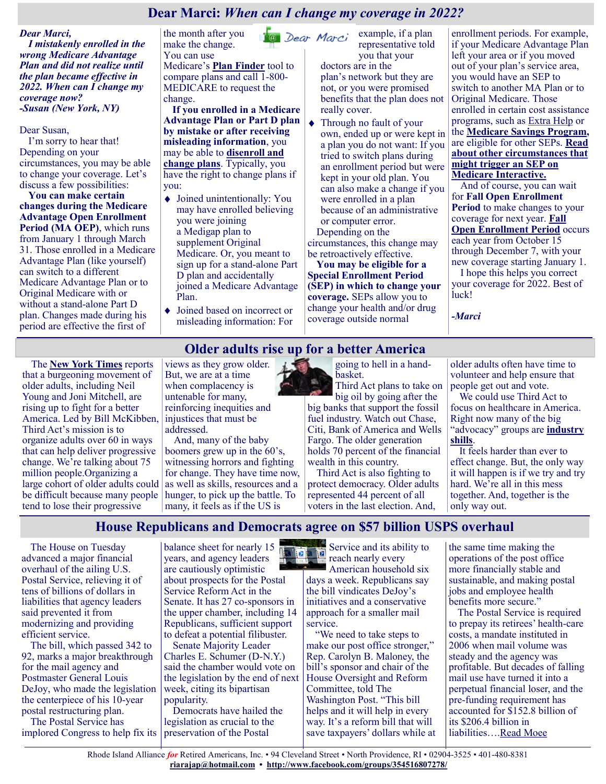# **Dear Marci:** *When can I change my coverage in 2022?*

#### *Dear Marci,*

*I mistakenly enrolled in the wrong Medicare Advantage Plan and did not realize until the plan became effective in 2022. When can I change my coverage now? -Susan (New York, NY)*

#### Dear Susan,

I'm sorry to hear that! Depending on your circumstances, you may be able to change your coverage. Let's discuss a few possibilities:

**You can make certain changes during the Medicare Advantage Open Enrollment Period (MA OEP)**, which runs from January 1 through March 31. Those enrolled in a Medicare Advantage Plan (like yourself) can switch to a different Medicare Advantage Plan or to Original Medicare with or without a stand-alone Part D plan. Changes made during his period are effective the first of

the month after you make the change. You can use Medicare's **[Plan Finder](https://medicarerights.us15.list-manage.com/track/click?u=1621f54a596f3717c22815356&id=6d4b325d88&e=88d22ba1fe)** tool to compare plans and call 1-800- MEDICARE to request the change.

**If you enrolled in a Medicare Advantage Plan or Part D plan by mistake or after receiving misleading information**, you may be able to **[disenroll and](https://medicarerights.us15.list-manage.com/track/click?u=1621f54a596f3717c22815356&id=ef99d38ed5&e=88d22ba1fe)  [change plans](https://medicarerights.us15.list-manage.com/track/click?u=1621f54a596f3717c22815356&id=ef99d38ed5&e=88d22ba1fe)**. Typically, you have the right to change plans if you:

- Joined unintentionally: You may have enrolled believing you were joining a Medigap plan to supplement Original Medicare. Or, you meant to sign up for a stand-alone Part D plan and accidentally joined a Medicare Advantage Plan.
- Joined based on incorrect or misleading information: For

**Ea** Dear Marci example, if a plan representative told you that your doctors are in the plan's network but they are

not, or you were promised benefits that the plan does not really cover.

Through no fault of your own, ended up or were kept in a plan you do not want: If you tried to switch plans during an enrollment period but were kept in your old plan. You can also make a change if you were enrolled in a plan because of an administrative or computer error. Depending on the

circumstances, this change may be retroactively effective.

**You may be eligible for a Special Enrollment Period (SEP) in which to change your coverage.** SEPs allow you to change your health and/or drug coverage outside normal

enrollment periods. For example, if your Medicare Advantage Plan left your area or if you moved out of your plan's service area, you would have an SEP to switch to another MA Plan or to Original Medicare. Those enrolled in certain cost assistance programs, such as [Extra Help](https://medicarerights.us15.list-manage.com/track/click?u=1621f54a596f3717c22815356&id=b4e6f3385c&e=88d22ba1fe) or the **[Medicare Savings Program,](https://medicarerights.us15.list-manage.com/track/click?u=1621f54a596f3717c22815356&id=957d4ec485&e=88d22ba1fe)** are eligible for other SEPs. **[Read](https://medicarerights.us15.list-manage.com/track/click?u=1621f54a596f3717c22815356&id=9ce64819fb&e=88d22ba1fe)  [about other circumstances that](https://medicarerights.us15.list-manage.com/track/click?u=1621f54a596f3717c22815356&id=9ce64819fb&e=88d22ba1fe)  [might trigger an SEP on](https://medicarerights.us15.list-manage.com/track/click?u=1621f54a596f3717c22815356&id=9ce64819fb&e=88d22ba1fe)  [Medicare Interactive.](https://medicarerights.us15.list-manage.com/track/click?u=1621f54a596f3717c22815356&id=9ce64819fb&e=88d22ba1fe)**

And of course, you can wait for **Fall Open Enrollment Period** to make changes to your coverage for next year. **[Fall](https://medicarerights.us15.list-manage.com/track/click?u=1621f54a596f3717c22815356&id=28d4c589c9&e=88d22ba1fe)  [Open Enrollment Period](https://medicarerights.us15.list-manage.com/track/click?u=1621f54a596f3717c22815356&id=28d4c589c9&e=88d22ba1fe)** occurs each year from October 15 through December 7, with your new coverage starting January 1. I hope this helps you correct your coverage for 2022. Best of luck!

*-Marci*

# **Older adults rise up for a better America**

The **[New York Times](https://www.nytimes.com/2022/02/07/opinion/older-americans-power.html)** reports that a burgeoning movement of older adults, including Neil Young and Joni Mitchell, are rising up to fight for a better America. Led by Bill McKibben, Third Act's mission is to organize adults over 60 in ways that can help deliver progressive change. We're talking about 75 million people.Organizing a large cohort of older adults could be difficult because many people hunger, to pick up the battle. To tend to lose their progressive

views as they grow older. But, we are at a time when complacency is untenable for many, reinforcing inequities and injustices that must be addressed.

And, many of the baby boomers grew up in the 60's, witnessing horrors and fighting for change. They have time now, as well as skills, resources and a many, it feels as if the US is

going to hell in a handbasket.

Third Act plans to take on big oil by going after the big banks that support the fossil fuel industry. Watch out Chase, Citi, Bank of America and Wells Fargo. The older generation holds 70 percent of the financial wealth in this country.

Third Act is also fighting to protect democracy. Older adults represented 44 percent of all voters in the last election. And,

older adults often have time to volunteer and help ensure that people get out and vote.

We could use Third Act to focus on healthcare in America. Right now many of the big "advocacy" groups are **[industry](https://justcareusa.org/many-patient-advocacy-groups-are-pharma-shills/)  [shills](https://justcareusa.org/many-patient-advocacy-groups-are-pharma-shills/)**.

It feels harder than ever to effect change. But, the only way it will happen is if we try and try hard. We're all in this mess together. And, together is the only way out.

**House Republicans and Democrats agree on \$57 billion USPS overhaul**

The House on Tuesday advanced a major financial overhaul of the ailing U.S. Postal Service, relieving it of tens of billions of dollars in liabilities that agency leaders said prevented it from modernizing and providing efficient service.

The bill, which passed 342 to 92, marks a major breakthrough for the mail agency and Postmaster General Louis DeJoy, who made the legislation the centerpiece of his 10-year postal restructuring plan.

The Postal Service has implored Congress to help fix its balance sheet for nearly 15 years, and agency leaders are cautiously optimistic about prospects for the Postal Service Reform Act in the Senate. It has 27 co-sponsors in the upper chamber, including 14 Republicans, sufficient support to defeat a potential filibuster.

Senate Majority Leader Charles E. Schumer (D-N.Y.) said the chamber would vote on the legislation by the end of next week, citing its bipartisan popularity.

Democrats have hailed the legislation as crucial to the preservation of the Postal

Service and its ability to 囿 reach nearly every

American household six days a week. Republicans say the bill vindicates DeJoy's initiatives and a conservative approach for a smaller mail service.

"We need to take steps to make our post office stronger," Rep. Carolyn B. Maloney, the bill's sponsor and chair of the House Oversight and Reform Committee, told The Washington Post. "This bill helps and it will help in every way. It's a reform bill that will save taxpayers' dollars while at the same time making the operations of the post office more financially stable and sustainable, and making postal jobs and employee health benefits more secure."

The Postal Service is required to prepay its retirees' health-care costs, a mandate instituted in 2006 when mail volume was steady and the agency was profitable. But decades of falling mail use have turned it into a perpetual financial loser, and the pre-funding requirement has accounted for \$152.8 billion of its \$206.4 billion in liabilities…[.Read Moee](https://www.msn.com/en-us/news/politics/house-republicans-and-democrats-agree-on-57-billion-usps-overhaul/ar-AATCSKm)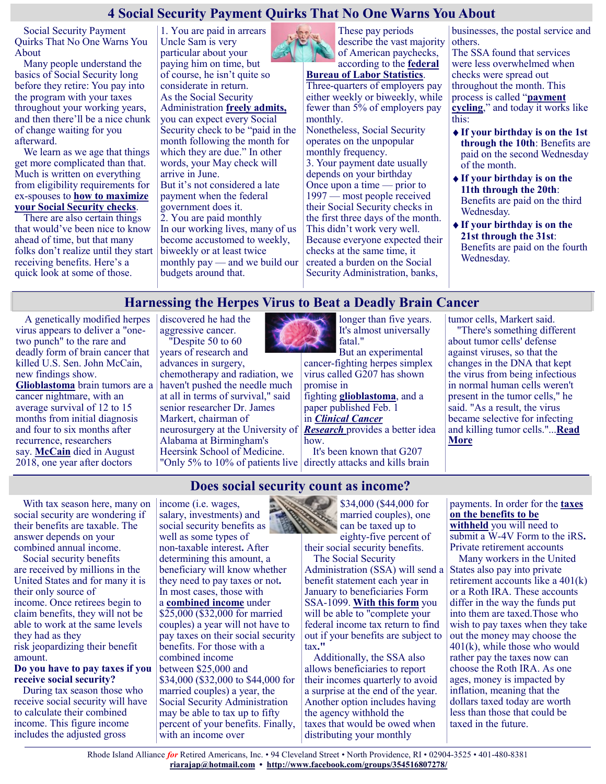# **4 Social Security Payment Quirks That No One Warns You About**

Social Security Payment Quirks That No One Warns You About

Many people understand the basics of Social Security long before they retire: You pay into the program with your taxes throughout your working years, and then there'll be a nice chunk of change waiting for you afterward.

We learn as we age that things get more complicated than that. Much is written on everything from eligibility requirements for ex-spouses to **[how to maximize](https://www.moneytalksnews.com/solutions/social-security/)  [your Social Security checks](https://www.moneytalksnews.com/solutions/social-security/)**.

There are also certain things that would've been nice to know ahead of time, but that many folks don't realize until they start receiving benefits. Here's a quick look at some of those.

Uncle Sam is very particular about your paying him on time, but of course, he isn't quite so considerate in return. As the Social Security Administration **[freely admits,](https://www.ssa.gov/pubs/EN-05-10077.pdf)** you can expect every Social Security check to be "paid in the month following the month for which they are due." In other words, your May check will arrive in June. But it's not considered a late payment when the federal government does it. 2. You are paid monthly In our working lives, many of us become accustomed to weekly, biweekly or at least twice monthly pay — and we build our budgets around that.

1. You are paid in arrears



These pay periods describe the vast majority of American paychecks, according to the **[federal](https://www.bls.gov/ces/publications/length-pay-period.htm)** 

**[Bureau of Labor Statistics](https://www.bls.gov/ces/publications/length-pay-period.htm)**. Three-quarters of employers pay either weekly or biweekly, while fewer than 5% of employers pay

monthly. Nonetheless, Social Security operates on the unpopular monthly frequency. 3. Your payment date usually depends on your birthday Once upon a time — prior to 1997 — most people received their Social Security checks in the first three days of the month. This didn't work very well. Because everyone expected their checks at the same time, it created a burden on the Social Security Administration, banks,

businesses, the postal service and others.

The SSA found that services were less overwhelmed when checks were spread out throughout the month. This process is called "**[payment](https://www.ssa.gov/history/ssa/ssa2000chapter5.html)  [cycling](https://www.ssa.gov/history/ssa/ssa2000chapter5.html)**," and today it works like this:

- **If your birthday is on the 1st through the 10th**: Benefits are paid on the second Wednesday of the month.
- **If your birthday is on the 11th through the 20th**: Benefits are paid on the third Wednesday.
- **If your birthday is on the 21st through the 31st**: Benefits are paid on the fourth Wednesday.

# **Harnessing the Herpes Virus to Beat a Deadly Brain Cancer**

**Does social security count as income?**

A genetically modified herpes virus appears to deliver a "onetwo punch" to the rare and deadly form of brain cancer that killed U.S. Sen. John McCain, new findings show. **[Glioblastoma](https://www.mayoclinic.org/diseases-conditions/glioblastoma/cdc-20350148#:~:text=Glioblastoma%20is%20an%20aggressive%20type%20of%20cancer%20that%20can%20occur,%2C%20nausea%2C%20vomiting%20and%20seizures.)** brain tumors are a cancer nightmare, with an average survival of 12 to 15 months from initial diagnosis and four to six months after recurrence, researchers say. **[McCain](https://www.johnmccain.com/story/)** died in August 2018, one year after doctors

discovered he had the aggressive cancer. "Despite 50 to 60 years of research and advances in surgery, chemotherapy and radiation, we haven't pushed the needle much at all in terms of survival," said senior researcher Dr. James Markert, chairman of neurosurgery at the University of Alabama at Birmingham's Heersink School of Medicine. "Only 5% to 10% of patients live longer than five years. It's almost universally fatal." But an experimental

cancer-fighting herpes simplex virus called G207 has shown promise in

fighting **[glioblastoma](https://www.aans.org/en/Patients/Neurosurgical-Conditions-and-Treatments/Glioblastoma-Multiforme)**, and a paper published Feb. 1

in *[Clinical Cancer](https://clincancerres.aacrjournals.org/content/28/3/498)  [Research](https://clincancerres.aacrjournals.org/content/28/3/498)* provides a better idea

how. It's been known that G207 directly attacks and kills brain tumor cells, Markert said. "There's something different about tumor cells' defense against viruses, so that the changes in the DNA that kept the virus from being infectious in normal human cells weren't present in the tumor cells," he said. "As a result, the virus became selective for infecting and killing tumor cells."...**[Read](https://consumer.healthday.com/2-8-harnessing-the-herpes-virus-to-beat-a-deadly-brain-cancer-2656526180.html)  [More](https://consumer.healthday.com/2-8-harnessing-the-herpes-virus-to-beat-a-deadly-brain-cancer-2656526180.html)**

With tax season here, many on social security are wondering if their benefits are taxable. The answer depends on your combined annual income.

Social security benefits are received by millions in the United States and for many it is their only source of income. Once retirees begin to claim benefits, they will not be able to work at the same levels they had as they risk jeopardizing their benefit amount.

#### **Do you have to pay taxes if you receive social security?**

During tax season those who receive social security will have to calculate their combined income. This figure income includes the adjusted gross

income (i.e. wages, salary, investments) and social security benefits as well as some types of non-taxable interest**.** After determining this amount, a beneficiary will know whether they need to pay taxes or not**.** In most cases, those with a **[combined income](https://www.ssa.gov/benefits/retirement/planner/taxes.html)** under \$25,000 (\$32,000 for married couples) a year will not have to pay taxes on their social security benefits. For those with a combined income between \$25,000 and \$34,000 (\$32,000 to \$44,000 for married couples) a year, the Social Security Administration may be able to tax up to fifty percent of your benefits. Finally, with an income over

\$34,000 (\$44,000 for married couples), one can be taxed up to eighty-five percent of

their social security benefits. The Social Security

Administration (SSA) will send a benefit statement each year in January to beneficiaries Form SSA-1099. **[With this form](https://www.ssa.gov/benefits/retirement/planner/taxes.html)** you will be able to "complete your federal income tax return to find out if your benefits are subject to tax**."**

Additionally, the SSA also allows beneficiaries to report their incomes quarterly to avoid a surprise at the end of the year. Another option includes having the agency withhold the taxes that would be owed when distributing your monthly

payments. In order for the **[taxes](https://www.ssa.gov/benefits/retirement/planner/taxwithold.html)  [on the benefits to be](https://www.ssa.gov/benefits/retirement/planner/taxwithold.html)  [withheld](https://www.ssa.gov/benefits/retirement/planner/taxwithold.html)** you will need to submit a W-4V Form to the iRS**.** Private retirement accounts

Many workers in the United States also pay into private retirement accounts like a 401(k) or a Roth IRA. These accounts differ in the way the funds put into them are taxed.Those who wish to pay taxes when they take out the money may choose the 401(k), while those who would rather pay the taxes now can choose the Roth IRA. As one ages, money is impacted by inflation, meaning that the dollars taxed today are worth less than those that could be taxed in the future.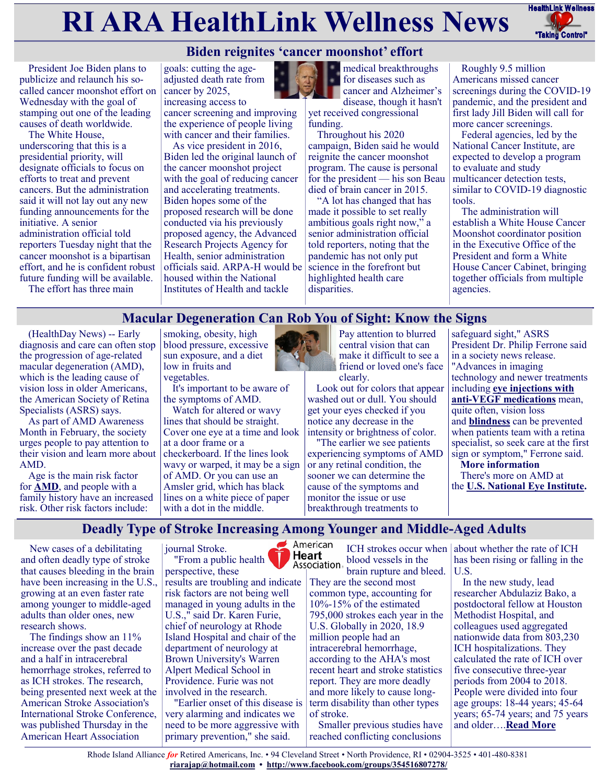# **RI ARA HealthLink Wellness News** FreathLink Wellness



President Joe Biden plans to publicize and relaunch his socalled cancer moonshot effort on Wednesday with the goal of stamping out one of the leading causes of death worldwide.

The White House, underscoring that this is a presidential priority, will designate officials to focus on efforts to treat and prevent cancers. But the administration said it will not lay out any new funding announcements for the initiative. A senior administration official told reporters Tuesday night that the cancer moonshot is a bipartisan effort, and he is confident robust future funding will be available.

The effort has three main

goals: cutting the ageadjusted death rate from cancer by 2025, increasing access to

cancer screening and improving the experience of people living with cancer and their families.

As vice president in 2016, Biden led the original launch of the cancer moonshot project with the goal of reducing cancer and accelerating treatments. Biden hopes some of the proposed research will be done conducted via his previously proposed agency, the Advanced Research Projects Agency for Health, senior administration officials said. ARPA-H would be housed within the National Institutes of Health and tackle



**medical breakthroughs** for diseases such as cancer and Alzheimer's disease, though it hasn't

yet received congressional funding.

Throughout his 2020 campaign, Biden said he would reignite the cancer moonshot program. The cause is personal for the president — his son Beau died of brain cancer in 2015.

"A lot has changed that has made it possible to set really ambitious goals right now," a senior administration official told reporters, noting that the pandemic has not only put science in the forefront but highlighted health care disparities.

Roughly 9.5 million Americans missed cancer screenings during the COVID-19 pandemic, and the president and first lady Jill Biden will call for more cancer screenings.

Federal agencies, led by the National Cancer Institute, are expected to develop a program to evaluate and study multicancer detection tests, similar to COVID-19 diagnostic tools.

The administration will establish a White House Cancer Moonshot coordinator position in the Executive Office of the President and form a White House Cancer Cabinet, bringing together officials from multiple agencies.

# **Macular Degeneration Can Rob You of Sight: Know the Signs**

(HealthDay News) -- Early diagnosis and care can often stop the progression of age-related macular degeneration (AMD), which is the leading cause of vision loss in older Americans, the American Society of Retina Specialists (ASRS) says.

As part of AMD Awareness Month in February, the society urges people to pay attention to their vision and learn more about AMD.

Age is the main risk factor for **[AMD](https://www.aao.org/eye-health/diseases/amd-macular-degeneration)**, and people with a family history have an increased risk. Other risk factors include:

smoking, obesity, high blood pressure, excessive sun exposure, and a diet low in fruits and vegetables.

It's important to be aware of the symptoms of AMD.

Watch for altered or wavy lines that should be straight. Cover one eye at a time and look at a door frame or a checkerboard. If the lines look wavy or warped, it may be a sign of AMD. Or you can use an Amsler grid, which has black lines on a white piece of paper with a dot in the middle.



Pay attention to blurred central vision that can make it difficult to see a friend or loved one's face clearly.

Look out for colors that appear washed out or dull. You should get your eyes checked if you notice any decrease in the intensity or brightness of color.

"The earlier we see patients experiencing symptoms of AMD or any retinal condition, the sooner we can determine the cause of the symptoms and monitor the issue or use breakthrough treatments to

safeguard sight," ASRS President Dr. Philip Ferrone said in a society news release. "Advances in imaging technology and newer treatments including **[eye injections with](https://www.aao.org/eye-health/drugs/anti-vegf-treatments)  anti-[VEGF medications](https://www.aao.org/eye-health/drugs/anti-vegf-treatments)** mean, quite often, vision loss and **[blindness](https://medlineplus.gov/ency/article/003040.htm#:~:text=Blindness%20is%20a%20lack%20of,blindness%22%20mean%20complete%20blindness.))** can be prevented when patients team with a retina specialist, so seek care at the first sign or symptom," Ferrone said. **More information** There's more on AMD at the **[U.S. National Eye Institute.](https://www.nei.nih.gov/learn-about-eye-health/eye-conditions-and-diseases/age-related-macular-degeneration)**

**Deadly Type of Stroke Increasing Among Younger and Middle-Aged Adults**

New cases of a debilitating and often deadly type of stroke that causes bleeding in the brain have been increasing in the U.S., growing at an even faster rate among younger to middle-aged adults than older ones, new research shows.

The findings show an 11% increase over the past decade and a half in intracerebral hemorrhage strokes, referred to as ICH strokes. The research, being presented next week at the American Stroke Association's International Stroke Conference, was published Thursday in the American Heart Association



results are troubling and indicate risk factors are not being well managed in young adults in the U.S.," said Dr. Karen Furie, chief of neurology at Rhode Island Hospital and chair of the department of neurology at Brown University's Warren Alpert Medical School in Providence. Furie was not involved in the research.

"Earlier onset of this disease is very alarming and indicates we need to be more aggressive with primary prevention," she said.

American ICH strokes occur when Heart blood vessels in the Association brain rupture and bleed.

They are the second most common type, accounting for 10%-15% of the estimated 795,000 strokes each year in the U.S. Globally in 2020, 18.9 million people had an intracerebral hemorrhage, according to the AHA's most recent heart and stroke statistics report. They are more deadly and more likely to cause longterm disability than other types of stroke.

Smaller previous studies have reached conflicting conclusions

about whether the rate of ICH has been rising or falling in the U.S.

In the new study, lead researcher Abdulaziz Bako, a postdoctoral fellow at Houston Methodist Hospital, and colleagues used aggregated nationwide data from 803,230 ICH hospitalizations. They calculated the rate of ICH over five consecutive three-year periods from 2004 to 2018. People were divided into four age groups: 18-44 years; 45-64 years; 65-74 years; and 75 years and older….**[Read More](https://consumer.healthday.com/aha-news-deadly-type-of-stroke-increasing-among-younger-and-middle-aged-adults-2656556948.html)**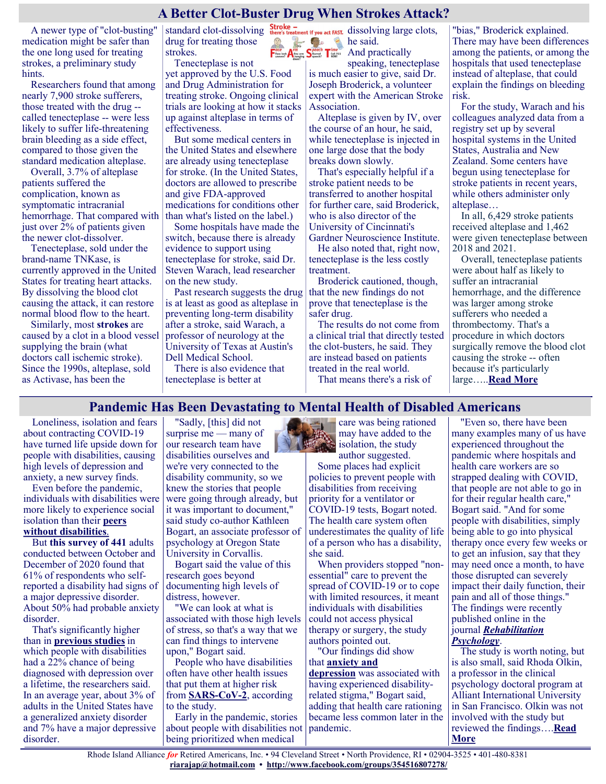# **A Better Clot-Buster Drug When Strokes Attack?**

A newer type of "clot-busting" medication might be safer than the one long used for treating strokes, a preliminary study hints.

Researchers found that among nearly 7,900 stroke sufferers, those treated with the drug - called tenecteplase -- were less likely to suffer life-threatening brain bleeding as a side effect, compared to those given the standard medication alteplase.

Overall, 3.7% of alteplase patients suffered the complication, known as symptomatic intracranial hemorrhage. That compared with than what's listed on the label.) just over 2% of patients given the newer clot-dissolver.

Tenecteplase, sold under the brand-name TNKase, is currently approved in the United States for treating heart attacks. By dissolving the blood clot causing the attack, it can restore normal blood flow to the heart.

Similarly, most **[strokes](https://www.stroke.org/en/about-stroke/types-of-stroke)** are caused by a clot in a blood vessel supplying the brain (what doctors call ischemic stroke). Since the 1990s, alteplase, sold as Activase, has been the

drug for treating those strokes.

Tenecteplase is not yet approved by the U.S. Food and Drug Administration for treating stroke. Ongoing clinical trials are looking at how it stacks up against alteplase in terms of effectiveness.

But some medical centers in the United States and elsewhere are already using tenecteplase for stroke. (In the United States, doctors are allowed to prescribe and give FDA-approved medications for conditions other

Some hospitals have made the switch, because there is already evidence to support using tenecteplase for stroke, said Dr. Steven Warach, lead researcher on the new study.

Past research suggests the drug is at least as good as alteplase in preventing long-term disability after a stroke, said Warach, a professor of neurology at the University of Texas at Austin's Dell Medical School.

There is also evidence that tenecteplase is better at

standard clot-dissolving  $\frac{1}{\text{there's treatment if you act FAST}}$  dissolving large clots, Edge he said.

 $\mathbf{A}^{\text{one sum}}_{\text{observed}} \mathbf{S}^{\text{gured}}_{\text{specth}} \mathbf{T}^{\text{true}}_{\text{nonrel}}$  And practically speaking, tenecteplase is much easier to give, said Dr. Joseph Broderick, a volunteer expert with the American Stroke Association.

> Alteplase is given by IV, over the course of an hour, he said, while tenecteplase is injected in one large dose that the body breaks down slowly.

> That's especially helpful if a stroke patient needs to be transferred to another hospital for further care, said Broderick, who is also director of the University of Cincinnati's Gardner Neuroscience Institute.

> He also noted that, right now, tenecteplase is the less costly treatment.

Broderick cautioned, though, that the new findings do not prove that tenecteplase is the safer drug.

The results do not come from a clinical trial that directly tested the clot-busters, he said. They are instead based on patients treated in the real world.

That means there's a risk of

"bias," Broderick explained. There may have been differences among the patients, or among the hospitals that used tenecteplase instead of alteplase, that could explain the findings on bleeding risk.

For the study, Warach and his colleagues analyzed data from a registry set up by several hospital systems in the United States, Australia and New Zealand. Some centers have begun using tenecteplase for stroke patients in recent years, while others administer only alteplase…

In all, 6,429 stroke patients received alteplase and 1,462 were given tenecteplase between 2018 and 2021.

Overall, tenecteplase patients were about half as likely to suffer an intracranial hemorrhage, and the difference was larger among stroke sufferers who needed a thrombectomy. That's a procedure in which doctors surgically remove the blood clot causing the stroke -- often because it's particularly large…..**[Read More](https://consumer.healthday.com/1-4-a-better-clot-buster-drug-2656492550.html)**

# **Pandemic Has Been Devastating to Mental Health of Disabled Americans**

Loneliness, isolation and fears about contracting COVID-19 have turned life upside down for people with disabilities, causing high levels of depression and anxiety, a new survey finds.

Even before the pandemic, individuals with disabilities were more likely to experience social isolation than their **[peers](https://magazine.medlineplus.gov/article/managing-the-uncertainty-of-covid-19)  [without disabilities](https://magazine.medlineplus.gov/article/managing-the-uncertainty-of-covid-19)**.

But **[this survey](https://doi.apa.org/fulltext/2022-23736-001.html) of 441** adults conducted between October and December of 2020 found that 61% of respondents who selfreported a disability had signs of a major depressive disorder. About 50% had probable anxiety disorder.

That's significantly higher than in **[previous studies](https://www.ncbi.nlm.nih.gov/pmc/articles/PMC8453786/)** in which people with disabilities had a 22% chance of being diagnosed with depression over a lifetime, the researchers said. In an average year, about 3% of adults in the United States have a generalized anxiety disorder and 7% have a major depressive disorder.

"Sadly, [this] did not surprise me — many of our research team have disabilities ourselves and we're very connected to the disability community, so we knew the stories that people were going through already, but it was important to document," said study co-author Kathleen Bogart, an associate professor of psychology at Oregon State University in Corvallis.

Bogart said the value of this research goes beyond documenting high levels of distress, however.

"We can look at what is associated with those high levels of stress, so that's a way that we can find things to intervene upon," Bogart said.

People who have disabilities often have other health issues that put them at higher risk from **[SARS](https://www.cdc.gov/coronavirus/2019-ncov/need-extra-precautions/people-with-medical-conditions.html)-CoV-2**, according to the study.

Early in the pandemic, stories about people with disabilities not being prioritized when medical



care was being rationed may have added to the **isolation**, the study

author suggested. Some places had explicit policies to prevent people with disabilities from receiving priority for a ventilator or COVID-19 tests, Bogart noted. The health care system often underestimates the quality of life of a person who has a disability, she said.

When providers stopped "nonessential" care to prevent the spread of COVID-19 or to cope with limited resources, it meant individuals with disabilities could not access physical therapy or surgery, the study authors pointed out.

"Our findings did show

that **[anxiety and](https://www.apa.org/topics/covid-19/research-disabilities)  [depression](https://www.apa.org/topics/covid-19/research-disabilities)** was associated with having experienced disabilityrelated stigma," Bogart said, adding that health care rationing became less common later in the pandemic.

"Even so, there have been many examples many of us have experienced throughout the pandemic where hospitals and health care workers are so strapped dealing with COVID, that people are not able to go in for their regular health care," Bogart said. "And for some people with disabilities, simply being able to go into physical therapy once every few weeks or to get an infusion, say that they may need once a month, to have those disrupted can severely impact their daily function, their pain and all of those things." The findings were recently published online in the journal *[Rehabilitation](https://doi.apa.org/fulltext/2022-23736-001.html)  [Psychology](https://doi.apa.org/fulltext/2022-23736-001.html)*.

The study is worth noting, but is also small, said Rhoda Olkin, a professor in the clinical psychology doctoral program at Alliant International University in San Francisco. Olkin was not involved with the study but reviewed the findings….**[Read](https://consumer.healthday.com/depression-2656557845.html)  [More](https://consumer.healthday.com/depression-2656557845.html)**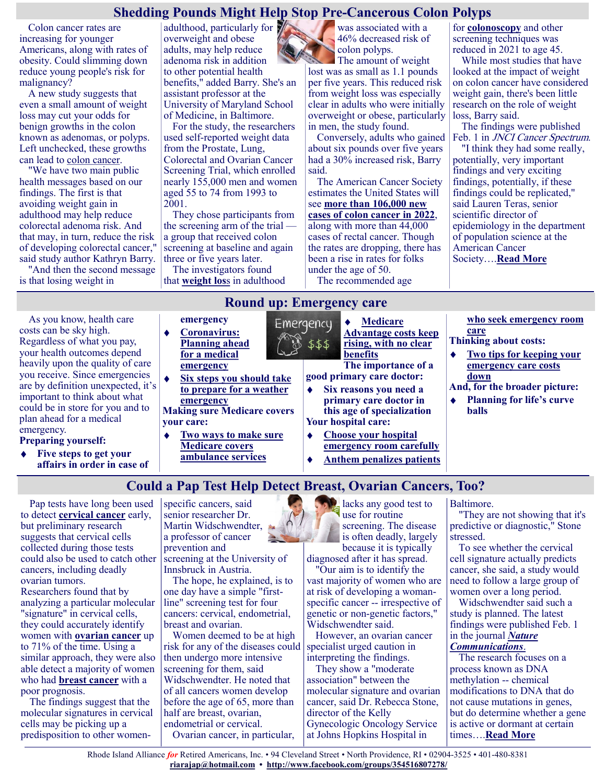## **Shedding Pounds Might Help Stop Pre-Cancerous Colon Polyps**

Colon cancer rates are increasing for younger Americans, along with rates of obesity. Could slimming down reduce young people's risk for malignancy?

A new study suggests that even a small amount of weight loss may cut your odds for benign growths in the colon known as adenomas, or polyps. Left unchecked, these growths can lead to [colon cancer.](https://www.cdc.gov/cancer/colorectal/index.htm)

"We have two main public health messages based on our findings. The first is that avoiding weight gain in adulthood may help reduce colorectal adenoma risk. And that may, in turn, reduce the risk of developing colorectal cancer," said study author Kathryn Barry.

"And then the second message is that losing weight in

adulthood, particularly for overweight and obese adults, may help reduce adenoma risk in addition to other potential health benefits," added Barry. She's an assistant professor at the University of Maryland School of Medicine, in Baltimore.

For the study, the researchers used self-reported weight data from the Prostate, Lung, Colorectal and Ovarian Cancer Screening Trial, which enrolled nearly 155,000 men and women aged 55 to 74 from 1993 to 2001.

They chose participants from the screening arm of the trial a group that received colon screening at baseline and again three or five years later.

The investigators found that **[weight los](https://www.cdc.gov/healthyweight/losing_weight/index.html)**s in adulthood was associated with a 46% decreased risk of colon polyps.

The amount of weight lost was as small as 1.1 pounds per five years. This reduced risk from weight loss was especially clear in adults who were initially overweight or obese, particularly in men, the study found.

Conversely, adults who gained about six pounds over five years had a 30% increased risk, Barry said.

The American Cancer Society estimates the United States will see **[more than 106,000 new](https://www.cancer.org/cancer/colon-rectal-cancer/about/key-statistics.html)  [cases of colon cancer in 2022](https://www.cancer.org/cancer/colon-rectal-cancer/about/key-statistics.html)**, along with more than 44,000 cases of rectal cancer. Though the rates are dropping, there has been a rise in rates for folks under the age of 50.

The recommended age

for **[colonoscopy](https://www.mayoclinic.org/tests-procedures/colonoscopy/about/pac-20393569#:~:text=A%20colonoscopy%20(koe%2Dlun%2D,inside%20of%20the%20entire%20colon.)** and other screening techniques was reduced in 2021 to age 45.

While most studies that have looked at the impact of weight on colon cancer have considered weight gain, there's been little research on the role of weight loss, Barry said.

The findings were published Feb. 1 in *JNCI* Cancer Spectrum.

"I think they had some really, potentially, very important findings and very exciting findings, potentially, if these findings could be replicated," said Lauren Teras, senior scientific director of epidemiology in the department of population science at the American Cancer Society….**[Read More](https://www.usnews.com/news/health-news/articles/2022-02-01/shedding-pounds-might-help-stop-pre-cancerous-colon-polyps)**

As you know, health care costs can be sky high. Regardless of what you pay, your health outcomes depend heavily upon the quality of care you receive. Since emergencies are by definition unexpected, it's important to think about what could be in store for you and to plan ahead for a medical emergency.

- **Preparing yourself:**
- **[Five steps to get your](https://justcareusa.org/five-steps-to-get-your-affairs-in-order-in-case-of-emergency/)  [affairs in order in case of](https://justcareusa.org/five-steps-to-get-your-affairs-in-order-in-case-of-emergency/)**

#### **[emergency](https://justcareusa.org/five-steps-to-get-your-affairs-in-order-in-case-of-emergency/) [Coronavirus:](https://justcareusa.org/coronavirus-planning-ahead-for-a-medical-emergency/)  [Planning ahead](https://justcareusa.org/coronavirus-planning-ahead-for-a-medical-emergency/)  [for a medical](https://justcareusa.org/coronavirus-planning-ahead-for-a-medical-emergency/)**

 $\bullet$ 

**[emergency](https://justcareusa.org/coronavirus-planning-ahead-for-a-medical-emergency/) [Six steps you should take](https://justcareusa.org/six-steps-you-should-take-to-prepare-for-a-weather-emergency/)  [to prepare for a weather](https://justcareusa.org/six-steps-you-should-take-to-prepare-for-a-weather-emergency/)** 

**[emergency](https://justcareusa.org/six-steps-you-should-take-to-prepare-for-a-weather-emergency/) Making sure Medicare covers your care:**

- **[Two ways to make sure](https://justcareusa.org/two-ways-to-make-sure-medicare-covers-ambulance-services/)**  ٠ **[Medicare covers](https://justcareusa.org/two-ways-to-make-sure-medicare-covers-ambulance-services/)  [ambulance services](https://justcareusa.org/two-ways-to-make-sure-medicare-covers-ambulance-services/)**
- **[Medicare](https://justcareusa.org/medicare-advantage-costs-keep-rising-with-no-clear-benefits/)**  Emergency **[Advantage costs keep](https://justcareusa.org/medicare-advantage-costs-keep-rising-with-no-clear-benefits/)  [rising, with no clear](https://justcareusa.org/medicare-advantage-costs-keep-rising-with-no-clear-benefits/)**  \$\$\$ **[benefits](https://justcareusa.org/medicare-advantage-costs-keep-rising-with-no-clear-benefits/)**

**The importance of a good primary care doctor:**

- **[Six reasons you need a](https://justcareusa.org/six-reasons-you-need-a-primary-care-doctor-in-this-age-of-specialization/)  [primary care doctor in](https://justcareusa.org/six-reasons-you-need-a-primary-care-doctor-in-this-age-of-specialization/)  [this age of specialization](https://justcareusa.org/six-reasons-you-need-a-primary-care-doctor-in-this-age-of-specialization/) Your hospital care:**
- **[Choose your hospital](https://justcareusa.org/choose-your-hospital-emergency-room-carefully/)  [emergency room carefully](https://justcareusa.org/choose-your-hospital-emergency-room-carefully/) [Anthem penalizes patients](https://justcareusa.org/anthem-penalizes-patients-who-seek-emergency-room-care/)**
- **[who seek emergency room](https://justcareusa.org/anthem-penalizes-patients-who-seek-emergency-room-care/)  [care](https://justcareusa.org/anthem-penalizes-patients-who-seek-emergency-room-care/)**
- **Thinking about costs:**
- **[Two tips for keeping your](https://justcareusa.org/two-tips-for-keeping-your-emergency-care-costs-down/)  [emergency care costs](https://justcareusa.org/two-tips-for-keeping-your-emergency-care-costs-down/)  [down](https://justcareusa.org/two-tips-for-keeping-your-emergency-care-costs-down/)**
- **And, for the broader picture: [Planning for life's curve](https://justcareusa.org/roundup-planning-for-lifes-curve-balls/)**   $\bullet$
- **[balls](https://justcareusa.org/roundup-planning-for-lifes-curve-balls/)**

# **Could a Pap Test Help Detect Breast, Ovarian Cancers, Too?**

**Round up: Emergency care**

Pap tests have long been used to detect **[cervical cancer](https://www.cdc.gov/cancer/cervical/basic_info/index.htm)** early, but preliminary research suggests that cervical cells collected during those tests could also be used to catch other cancers, including deadly ovarian tumors. Researchers found that by analyzing a particular molecular "signature" in cervical cells,

they could accurately identify women with **[ovarian cancer](https://www.cancer.org/cancer/ovarian-cancer.html)** up to 71% of the time. Using a similar approach, they were also able detect a majority of women who had **[breast cancer](https://www.cancer.org/cancer/breast-cancer.html)** with a poor prognosis.

The findings suggest that the molecular signatures in cervical cells may be picking up a predisposition to other womenspecific cancers, said senior researcher Dr. Martin Widschwendter, a professor of cancer prevention and

screening at the University of Innsbruck in Austria.

The hope, he explained, is to one day have a simple "firstline" screening test for four cancers: cervical, endometrial, breast and ovarian.

Women deemed to be at high risk for any of the diseases could then undergo more intensive screening for them, said Widschwendter. He noted that of all cancers women develop before the age of 65, more than half are breast, ovarian, endometrial or cervical. Ovarian cancer, in particular,

lacks any good test to use for routine screening. The disease is often deadly, largely because it is typically

diagnosed after it has spread. "Our aim is to identify the

vast majority of women who are at risk of developing a womanspecific cancer -- irrespective of genetic or non-genetic factors," Widschwendter said.

However, an ovarian cancer specialist urged caution in interpreting the findings.

They show a "moderate association" between the molecular signature and ovarian cancer, said Dr. Rebecca Stone, director of the Kelly Gynecologic Oncology Service at Johns Hopkins Hospital in

Baltimore.

"They are not showing that it's predictive or diagnostic," Stone stressed.

To see whether the cervical cell signature actually predicts cancer, she said, a study would need to follow a large group of women over a long period.

Widschwendter said such a study is planned. The latest findings were published Feb. 1 in the journal *[Nature](https://www.nature.com/articles/s41467-021-27918-w)* 

#### *[Communications](https://www.nature.com/articles/s41467-021-27918-w)*.

The research focuses on a process known as DNA methylation -- chemical modifications to DNA that do not cause mutations in genes, but do determine whether a gene is active or dormant at certain times….**[Read More](https://consumer.healthday.com/2-1-could-a-pap-smear-help-detect-breast-ovarian-cancers-too-2656483821.html)**